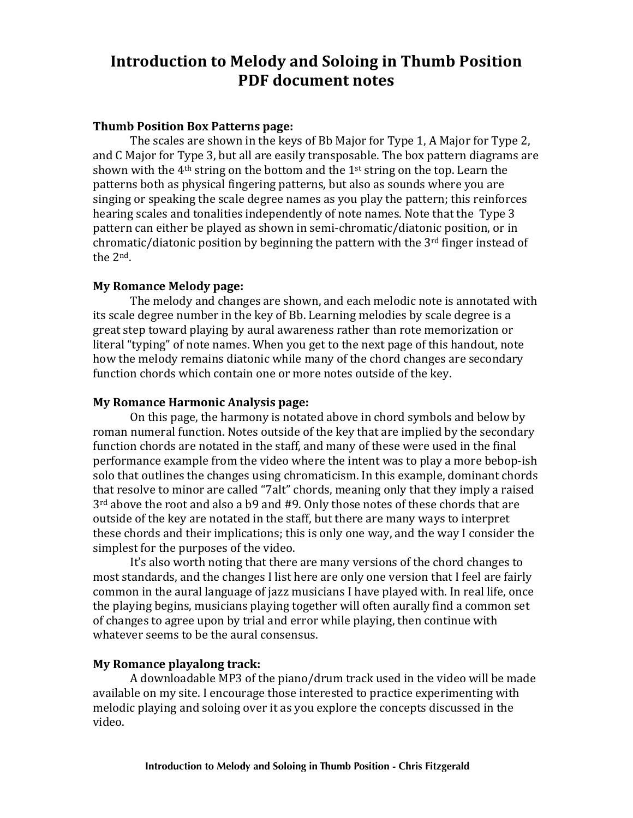# **Introduction to Melody and Soloing in Thumb Position PDF** document notes

## **Thumb Position Box Patterns page:**

The scales are shown in the keys of Bb Major for Type 1, A Major for Type 2, and C Major for Type 3, but all are easily transposable. The box pattern diagrams are shown with the  $4<sup>th</sup>$  string on the bottom and the  $1<sup>st</sup>$  string on the top. Learn the patterns both as physical fingering patterns, but also as sounds where you are singing or speaking the scale degree names as you play the pattern; this reinforces hearing scales and tonalities independently of note names. Note that the Type 3 pattern can either be played as shown in semi-chromatic/diatonic position, or in chromatic/diatonic position by beginning the pattern with the  $3<sup>rd</sup>$  finger instead of the 2<sup>nd</sup>.

## **My Romance Melody page:**

The melody and changes are shown, and each melodic note is annotated with its scale degree number in the key of Bb. Learning melodies by scale degree is a great step toward playing by aural awareness rather than rote memorization or literal "typing" of note names. When you get to the next page of this handout, note how the melody remains diatonic while many of the chord changes are secondary function chords which contain one or more notes outside of the key.

#### **My Romance Harmonic Analysis page:**

On this page, the harmony is notated above in chord symbols and below by roman numeral function. Notes outside of the key that are implied by the secondary function chords are notated in the staff, and many of these were used in the final performance example from the video where the intent was to play a more bebop-ish solo that outlines the changes using chromaticism. In this example, dominant chords that resolve to minor are called "7alt" chords, meaning only that they imply a raised  $3<sup>rd</sup>$  above the root and also a b9 and #9. Only those notes of these chords that are outside of the key are notated in the staff, but there are many ways to interpret these chords and their implications; this is only one way, and the way I consider the simplest for the purposes of the video.

It's also worth noting that there are many versions of the chord changes to most standards, and the changes I list here are only one version that I feel are fairly common in the aural language of jazz musicians I have played with. In real life, once the playing begins, musicians playing together will often aurally find a common set of changes to agree upon by trial and error while playing, then continue with whatever seems to be the aural consensus.

#### **My Romance playalong track:**

A downloadable MP3 of the piano/drum track used in the video will be made available on my site. I encourage those interested to practice experimenting with melodic playing and soloing over it as you explore the concepts discussed in the video.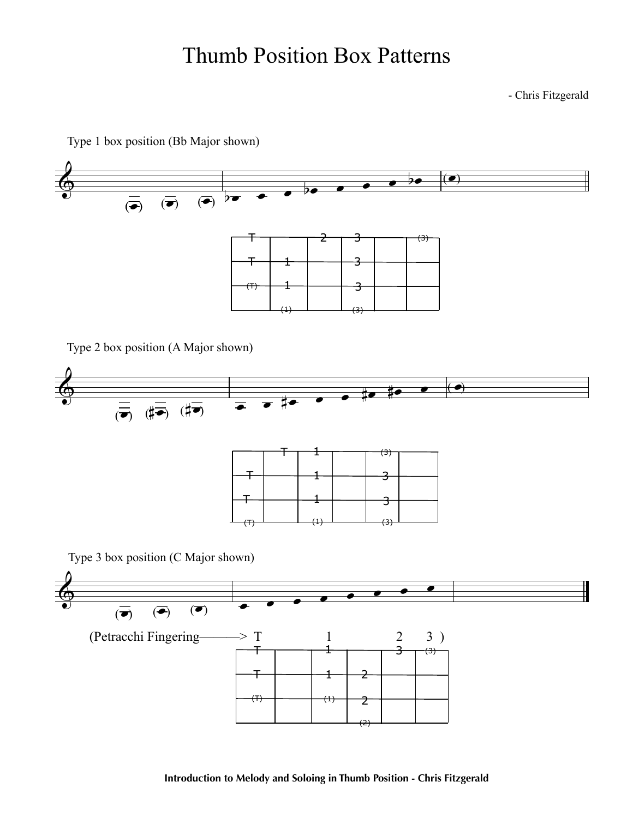# Thumb Position Box Patterns

- Chris Fitzgerald

Type 1 box position (Bb Major shown)



Type 2 box position (A Major shown)

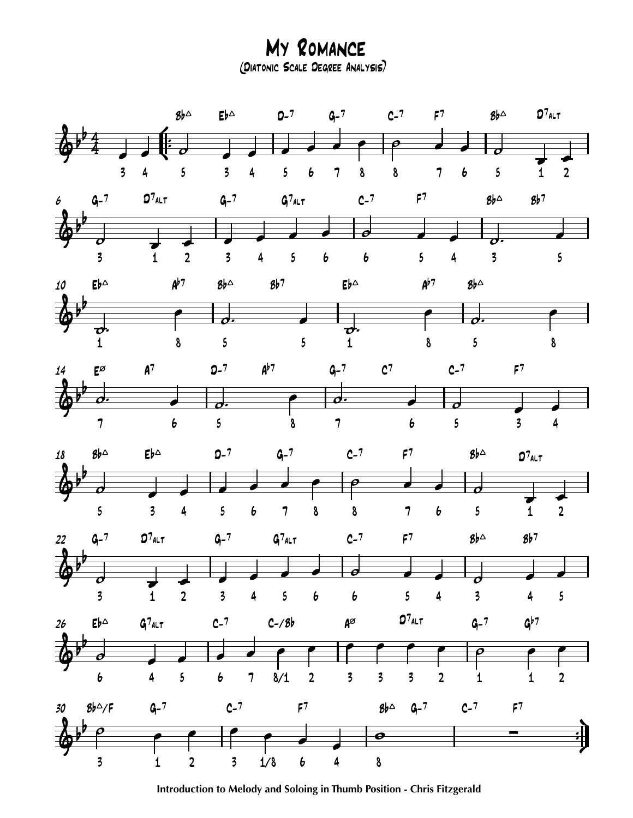(Diatonic Scale Degree Analysis) My Romance



**Introduction to Melody and Soloing in Thumb Position - Chris Fitzgerald**